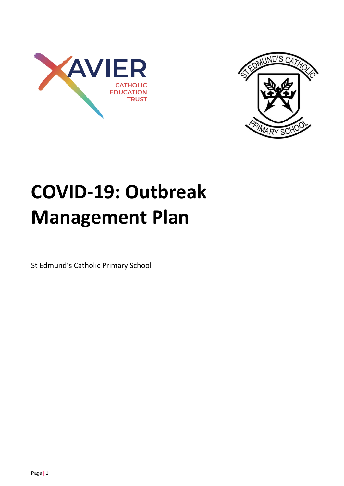



# **COVID-19: Outbreak Management Plan**

St Edmund's Catholic Primary School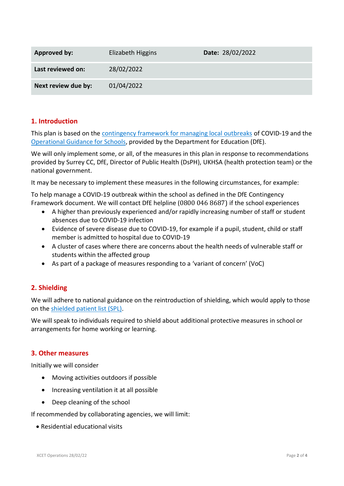| <b>Approved by:</b> | Elizabeth Higgins | Date: 28/02/2022 |
|---------------------|-------------------|------------------|
| Last reviewed on:   | 28/02/2022        |                  |
| Next review due by: | 01/04/2022        |                  |

#### **1. Introduction**

This plan is based on the [contingency framework for managing local outbreaks](https://assets.publishing.service.gov.uk/government/uploads/system/uploads/attachment_data/file/1057141/Contingency_framework_education_and_childcare_settings_February_2022.pdf) of COVID-19 and the [Operational Guidance for Schools,](https://assets.publishing.service.gov.uk/government/uploads/system/uploads/attachment_data/file/1057106/220224_Schools_guidance.pdf) provided by the Department for Education (DfE).

We will only implement some, or all, of the measures in this plan in response to recommendations provided by Surrey CC, DfE, Director of Public Health (DsPH), UKHSA (health protection team) or the national government.

It may be necessary to implement these measures in the following circumstances, for example:

To help manage a COVID-19 outbreak within the school as defined in the DfE Contingency Framework document. We will contact DfE helpline (0800 046 8687) if the school experiences

- A higher than previously experienced and/or rapidly increasing number of staff or student absences due to COVID-19 infection
- Evidence of severe disease due to COVID-19, for example if a pupil, student, child or staff member is admitted to hospital due to COVID-19
- A cluster of cases where there are concerns about the health needs of vulnerable staff or students within the affected group
- As part of a package of measures responding to a 'variant of concern' (VoC)

# **2. Shielding**

We will adhere to national guidance on the reintroduction of shielding, which would apply to those on the [shielded patient list \(SPL\).](https://digital.nhs.uk/coronavirus/shielded-patient-list)

We will speak to individuals required to shield about additional protective measures in school or arrangements for home working or learning.

## **3. Other measures**

Initially we will consider

- Moving activities outdoors if possible
- Increasing ventilation it at all possible
- Deep cleaning of the school

If recommended by collaborating agencies, we will limit:

Residential educational visits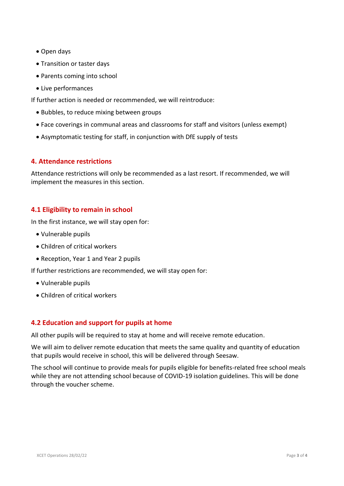- Open days
- Transition or taster days
- Parents coming into school
- Live performances

If further action is needed or recommended, we will reintroduce:

- Bubbles, to reduce mixing between groups
- Face coverings in communal areas and classrooms for staff and visitors (unless exempt)
- Asymptomatic testing for staff, in conjunction with DfE supply of tests

#### **4. Attendance restrictions**

Attendance restrictions will only be recommended as a last resort. If recommended, we will implement the measures in this section.

#### **4.1 Eligibility to remain in school**

In the first instance, we will stay open for:

- Vulnerable pupils
- Children of critical workers
- Reception, Year 1 and Year 2 pupils

If further restrictions are recommended, we will stay open for:

- Vulnerable pupils
- Children of critical workers

## **4.2 Education and support for pupils at home**

All other pupils will be required to stay at home and will receive remote education.

We will aim to deliver remote education that meets the same quality and quantity of education that pupils would receive in school, this will be delivered through Seesaw.

The school will continue to provide meals for pupils eligible for benefits-related free school meals while they are not attending school because of COVID-19 isolation guidelines. This will be done through the voucher scheme.